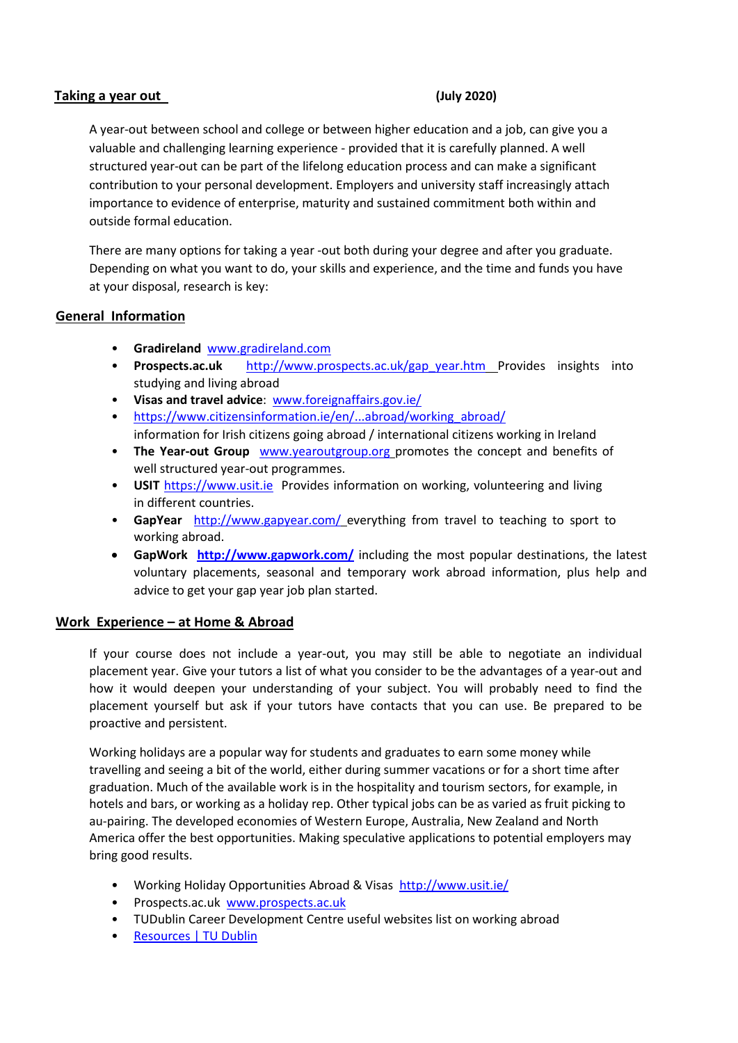#### **Taking a year out (July 2020)**

A year-out between school and college or between higher education and a job, can give you a valuable and challenging learning experience - provided that it is carefully planned. A well structured year-out can be part of the lifelong education process and can make a significant contribution to your personal development. Employers and university staff increasingly attach importance to evidence of enterprise, maturity and sustained commitment both within and outside formal education.

There are many options for taking a year -out both during your degree and after you graduate. Depending on what you want to do, your skills and experience, and the time and funds you have at your disposal, research is key:

## **General Information**

- **Gradireland** [www.gradireland.com](http://www.gradireland.com/)
- **Prospects.ac.uk** [http://www.prospects.ac.uk/gap\\_year.htm](http://www.prospects.ac.uk/gap_year.htm) Provides insights into studying and living abroad
- **Visas and travel advice**: [www.foreignaffairs.gov.ie/](http://www.foreignaffairs.gov.ie/)
- [https://www.citizensinformation.ie/en/...abroad/working\\_abroad/](https://www.citizensinformation.ie/en/...abroad/working_abroad/) information for Irish citizens going abroad / international citizens working in Ireland
- **The Year-out Group** [www.yearoutgroup.org](http://www.yearoutgroup.org/) promotes the concept and benefits of well structured year-out programmes.
- **USIT** [https://www.usit.ie](https://www.usit.ie/) Provides information on working, volunteering and living in different countries.
- **GapYear** <http://www.gapyear.com/> everything from travel to teaching to sport to working abroad.
- **GapWork <http://www.gapwork.com/>** including the most popular destinations, the latest voluntary placements, seasonal and temporary work abroad information, plus help and advice to get your gap year job plan started.

## **Work Experience – at Home & Abroad**

If your course does not include a year-out, you may still be able to negotiate an individual placement year. Give your tutors a list of what you consider to be the advantages of a year-out and how it would deepen your understanding of your subject. You will probably need to find the placement yourself but ask if your tutors have contacts that you can use. Be prepared to be proactive and persistent.

Working holidays are a popular way for students and graduates to earn some money while travelling and seeing a bit of the world, either during summer vacations or for a short time after graduation. Much of the available work is in the hospitality and tourism sectors, for example, in hotels and bars, or working as a holiday rep. Other typical jobs can be as varied as fruit picking to au-pairing. The developed economies of Western Europe, Australia, New Zealand and North America offer the best opportunities. Making speculative applications to potential employers may bring good results.

- Working Holiday Opportunities Abroad & Visas<http://www.usit.ie/>
- Prospects.ac.uk [www.prospects.ac.uk](http://www.prospects.ac.uk/)
- TUDublin Career Development Centre useful websites list on working abroad
- [Resources | TU Dublin](https://www.tudublin.ie/for-students/career-development-centre/students-and-graduates/resources/)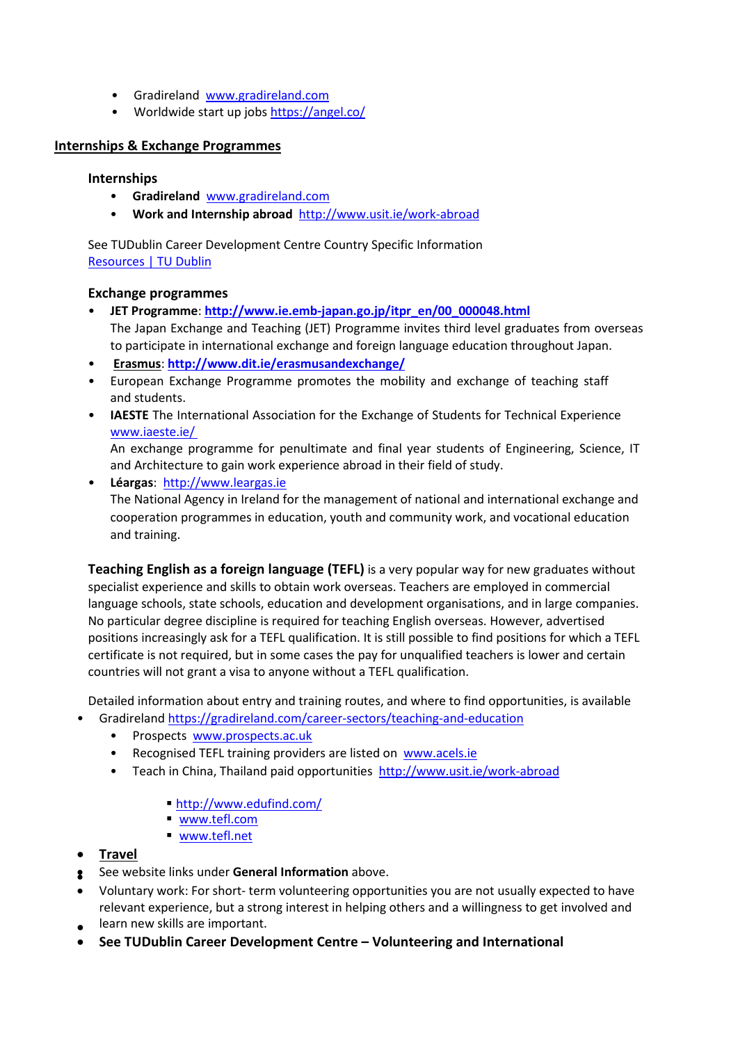- Gradireland [www.gradireland.com](http://www.gradireland.com/)
- Worldwide start up jobs<https://angel.co/>

# **Internships & Exchange Programmes**

#### **Internships**

- **Gradireland** [www.gradireland.com](http://www.gradireland.com/)
- **Work and Internship abroad** <http://www.usit.ie/work-abroad>

See TUDublin Career Development Centre Country Specific Information [Resources | TU Dublin](https://www.tudublin.ie/for-students/career-development-centre/students-and-graduates/resources/)

## **Exchange programmes**

- **JET Programme**: **[http://www.ie.emb-japan.go.jp/itpr\\_en/00\\_000048.html](http://www.ie.emb-japan.go.jp/itpr_en/00_000048.html)** The Japan Exchange and Teaching (JET) Programme invites third level graduates from overseas to participate in international exchange and foreign language education throughout Japan.
- **[Erasmus](http://www.britishcouncil.org/erasmus)**: **<http://www.dit.ie/erasmusandexchange/>**
- European Exchange Programme promotes the mobility and exchange of teaching staff and students.
- **IAESTE** The International Association for the Exchange of Students for Technical Experienc[e](http://www.iaeste.ie/) [www.iaeste.ie/](http://www.iaeste.ie/)

An exchange programme for penultimate and final year students of Engineering, Science, IT and Architecture to gain work experience abroad in their field of study.

• **Léargas**: [http://www.leargas.ie](http://www.leargas.ie/) The National Agency in Ireland for the management of national and international exchange and cooperation programmes in education, youth and community work, and vocational education and training.

**Teaching English as a foreign language (TEFL)** is a very popular way for new graduates without specialist experience and skills to obtain work overseas. Teachers are employed in commercial language schools, state schools, education and development organisations, and in large companies. No particular degree discipline is required for teaching English overseas. However, advertised positions increasingly ask for a TEFL qualification. It is still possible to find positions for which a TEFL certificate is not required, but in some cases the pay for unqualified teachers is lower and certain countries will not grant a visa to anyone without a TEFL qualification.

Detailed information about entry and training routes, and where to find opportunities, is available

- Gradirelan[d https://gradireland.com/career-sectors/teaching-and-education](https://gradireland.com/career-sectors/teaching-and-education)
	- Prospects [www.prospects.ac.uk](http://www.prospects.ac.uk/)
	- Recognised TEFL training providers are listed on [www.acels.ie](http://www.acels.ie/)
	- Teach in China, Thailand paid opportunities<http://www.usit.ie/work-abroad>
		- <http://www.edufind.com/>
		- [www.tefl.com](http://www.tefl.co/)
		- [www.tefl.net](http://www.tefl.net/)
- **Travel**
- See website links under **General Information** above. •
- Voluntary work: For short- term volunteering opportunities you are not usually expected to have relevant experience, but a strong interest in helping others and a willingness to get involved and
- learn new skills are important.
- **See TUDublin Career Development Centre – Volunteering and International**